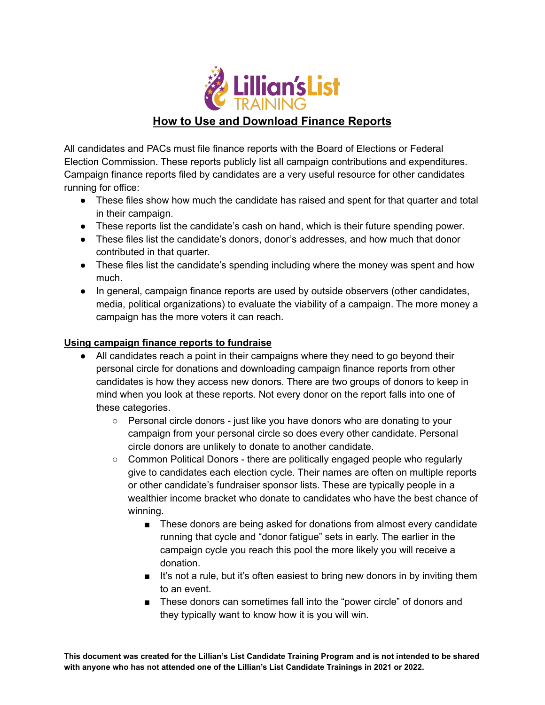

## **How to Use and Download Finance Reports**

All candidates and PACs must file finance reports with the Board of Elections or Federal Election Commission. These reports publicly list all campaign contributions and expenditures. Campaign finance reports filed by candidates are a very useful resource for other candidates running for office:

- These files show how much the candidate has raised and spent for that quarter and total in their campaign.
- These reports list the candidate's cash on hand, which is their future spending power.
- These files list the candidate's donors, donor's addresses, and how much that donor contributed in that quarter.
- These files list the candidate's spending including where the money was spent and how much.
- In general, campaign finance reports are used by outside observers (other candidates, media, political organizations) to evaluate the viability of a campaign. The more money a campaign has the more voters it can reach.

## **Using campaign finance reports to fundraise**

- All candidates reach a point in their campaigns where they need to go beyond their personal circle for donations and downloading campaign finance reports from other candidates is how they access new donors. There are two groups of donors to keep in mind when you look at these reports. Not every donor on the report falls into one of these categories.
	- Personal circle donors just like you have donors who are donating to your campaign from your personal circle so does every other candidate. Personal circle donors are unlikely to donate to another candidate.
	- Common Political Donors there are politically engaged people who regularly give to candidates each election cycle. Their names are often on multiple reports or other candidate's fundraiser sponsor lists. These are typically people in a wealthier income bracket who donate to candidates who have the best chance of winning.
		- These donors are being asked for donations from almost every candidate running that cycle and "donor fatigue" sets in early. The earlier in the campaign cycle you reach this pool the more likely you will receive a donation.
		- It's not a rule, but it's often easiest to bring new donors in by inviting them to an event.
		- These donors can sometimes fall into the "power circle" of donors and they typically want to know how it is you will win.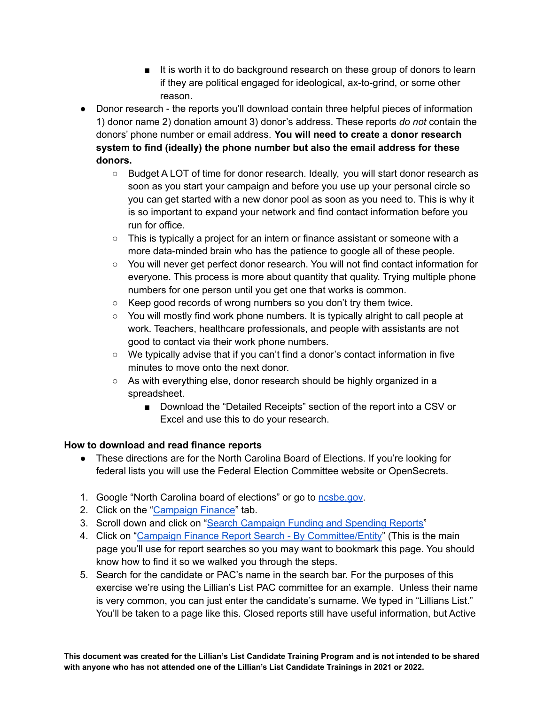- It is worth it to do background research on these group of donors to learn if they are political engaged for ideological, ax-to-grind, or some other reason.
- Donor research the reports you'll download contain three helpful pieces of information 1) donor name 2) donation amount 3) donor's address. These reports *do not* contain the donors' phone number or email address. **You will need to create a donor research system to find (ideally) the phone number but also the email address for these donors.**
	- Budget A LOT of time for donor research. Ideally, you will start donor research as soon as you start your campaign and before you use up your personal circle so you can get started with a new donor pool as soon as you need to. This is why it is so important to expand your network and find contact information before you run for office.
	- $\circ$  This is typically a project for an intern or finance assistant or someone with a more data-minded brain who has the patience to google all of these people.
	- You will never get perfect donor research. You will not find contact information for everyone. This process is more about quantity that quality. Trying multiple phone numbers for one person until you get one that works is common.
	- Keep good records of wrong numbers so you don't try them twice.
	- $\circ$  You will mostly find work phone numbers. It is typically alright to call people at work. Teachers, healthcare professionals, and people with assistants are not good to contact via their work phone numbers.
	- We typically advise that if you can't find a donor's contact information in five minutes to move onto the next donor.
	- As with everything else, donor research should be highly organized in a spreadsheet.
		- Download the "Detailed Receipts" section of the report into a CSV or Excel and use this to do your research.

## **How to download and read finance reports**

- These directions are for the North Carolina Board of Elections. If you're looking for federal lists you will use the Federal Election Committee website or OpenSecrets.
- 1. Google "North Carolina board of elections" or go to [ncsbe.gov](https://www.ncsbe.gov/).
- 2. Click on the ["Campaign](https://www.ncsbe.gov/campaign-finance) Finance" tab.
- 3. Scroll down and click on "Search [Campaign](https://www.ncsbe.gov/campaign-finance/search-campaign-funding-and-spending-reports-and-penalties) Funding and Spending Reports"
- 4. Click on "Campaign Finance Report Search By [Committee/Entity](https://cf.ncsbe.gov/CFOrgLkup/)" (This is the main page you'll use for report searches so you may want to bookmark this page. You should know how to find it so we walked you through the steps.
- 5. Search for the candidate or PAC's name in the search bar. For the purposes of this exercise we're using the Lillian's List PAC committee for an example. Unless their name is very common, you can just enter the candidate's surname. We typed in "Lillians List." You'll be taken to a page like this. Closed reports still have useful information, but Active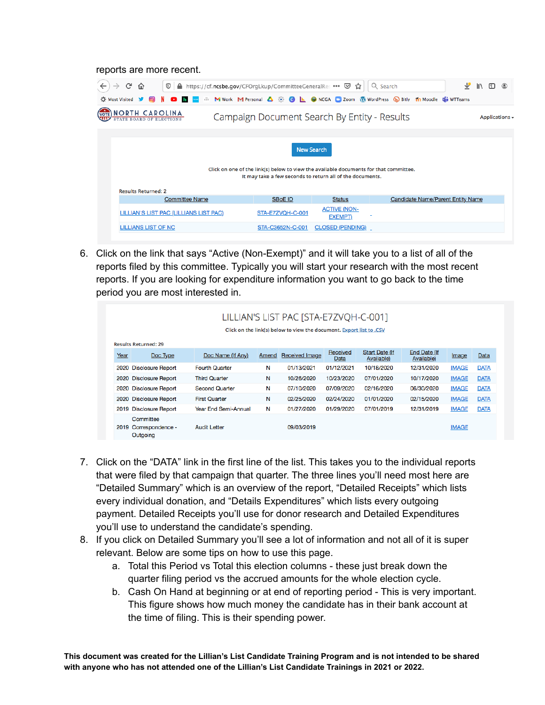## reports are more recent.

| G<br>A https://cf.ncsbe.gov/CFOrgLkup/CommitteeGeneralRes … ⊙ ☆<br>⋒<br>$^\copyright$<br><b>D</b> Most Visited |                                                                                                                                                    | C NCGA CI Zoom W WordPress (b Bitly Tn Moodle Li WTTeams | Q Search | V                                        | <b>III</b><br>m.    | $\circledcirc$ |
|----------------------------------------------------------------------------------------------------------------|----------------------------------------------------------------------------------------------------------------------------------------------------|----------------------------------------------------------|----------|------------------------------------------|---------------------|----------------|
|                                                                                                                | M Work M Personal A & C L                                                                                                                          |                                                          |          |                                          |                     |                |
| <b>NORTH CAROLINA</b><br>STATE BOARD OF ELECTIONS                                                              | Campaign Document Search By Entity - Results                                                                                                       |                                                          |          |                                          | Applications $\sim$ |                |
|                                                                                                                |                                                                                                                                                    |                                                          |          |                                          |                     |                |
|                                                                                                                | Click on one of the link(s) below to view the available documents for that committee.<br>It may take a few seconds to return all of the documents. | <b>New Search</b>                                        |          |                                          |                     |                |
| <b>Results Returned: 2</b>                                                                                     |                                                                                                                                                    |                                                          |          |                                          |                     |                |
| <b>Committee Name</b>                                                                                          | <b>SBoE ID</b>                                                                                                                                     | <b>Status</b>                                            |          | <b>Candidate Name/Parent Entity Name</b> |                     |                |
| LILLIAN'S LIST PAC (LILLIANS LIST PAC)                                                                         | STA-E7ZVQH-C-001                                                                                                                                   | <b>ACTIVE (NON-</b><br><b>EXEMPT)</b>                    |          |                                          |                     |                |
| LILLIANS LIST OF NC                                                                                            | STA-C3652N-C-001                                                                                                                                   | <b>CLOSED (PENDING)</b>                                  |          |                                          |                     |                |

6. Click on the link that says "Active (Non-Exempt)" and it will take you to a list of all of the reports filed by this committee. Typically you will start your research with the most recent reports. If you are looking for expenditure information you want to go back to the time period you are most interested in.

| LILLIAN'S LIST PAC [STA-E7ZVQH-C-001]                                |                             |       |                       |            |                       |              |              |             |  |  |  |  |
|----------------------------------------------------------------------|-----------------------------|-------|-----------------------|------------|-----------------------|--------------|--------------|-------------|--|--|--|--|
| Click on the link(s) below to view the document. Export list to .CSV |                             |       |                       |            |                       |              |              |             |  |  |  |  |
|                                                                      |                             |       |                       |            |                       |              |              |             |  |  |  |  |
| <b>Results Returned: 29</b>                                          |                             |       |                       | Received   | <b>Start Date (If</b> | End Date (If |              |             |  |  |  |  |
| Year<br>Doc Type                                                     | Doc Name (If Any)           | Amend | <b>Received Image</b> | Data       | Available)            | Available)   | Image        | Data        |  |  |  |  |
| <b>Disclosure Report</b><br>2020                                     | <b>Fourth Quarter</b>       | Ν     | 01/13/2021            | 01/12/2021 | 10/18/2020            | 12/31/2020   | <b>IMAGE</b> | <b>DATA</b> |  |  |  |  |
| 2020 Disclosure Report                                               | <b>Third Quarter</b>        | N     | 10/26/2020            | 10/23/2020 | 07/01/2020            | 10/17/2020   | <b>IMAGE</b> | <b>DATA</b> |  |  |  |  |
| <b>Disclosure Report</b><br>2020                                     | <b>Second Quarter</b>       | N     | 07/10/2020            | 07/09/2020 | 02/16/2020            | 06/30/2020   | <b>IMAGE</b> | <b>DATA</b> |  |  |  |  |
| 2020 Disclosure Report                                               | <b>First Quarter</b>        | N     | 02/25/2020            | 02/24/2020 | 01/01/2020            | 02/15/2020   | <b>IMAGE</b> | <b>DATA</b> |  |  |  |  |
| 2019 Disclosure Report                                               | <b>Year End Semi-Annual</b> | N     | 01/27/2020            | 01/29/2020 | 07/01/2019            | 12/31/2019   | <b>IMAGE</b> | <b>DATA</b> |  |  |  |  |
| Committee                                                            |                             |       |                       |            |                       |              |              |             |  |  |  |  |
| Correspondence -<br>2019                                             | <b>Audit Letter</b>         |       | 09/03/2019            |            |                       |              | <b>IMAGE</b> |             |  |  |  |  |
| Outgoing                                                             |                             |       |                       |            |                       |              |              |             |  |  |  |  |

- 7. Click on the "DATA" link in the first line of the list. This takes you to the individual reports that were filed by that campaign that quarter. The three lines you'll need most here are "Detailed Summary" which is an overview of the report, "Detailed Receipts" which lists every individual donation, and "Details Expenditures" which lists every outgoing payment. Detailed Receipts you'll use for donor research and Detailed Expenditures you'll use to understand the candidate's spending.
- 8. If you click on Detailed Summary you'll see a lot of information and not all of it is super relevant. Below are some tips on how to use this page.
	- a. Total this Period vs Total this election columns these just break down the quarter filing period vs the accrued amounts for the whole election cycle.
	- b. Cash On Hand at beginning or at end of reporting period This is very important. This figure shows how much money the candidate has in their bank account at the time of filing. This is their spending power.